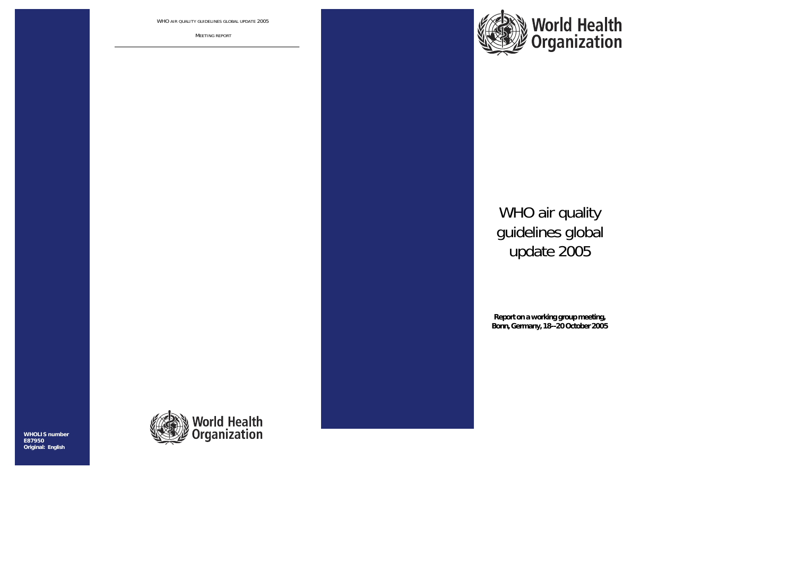MEETING REPORT



# WHO air quality guidelines global update 2005

**Report on a working group meeting, Bonn, Germany, 18--20 October 2005**

**WHOLIS number E87950 Original: English**

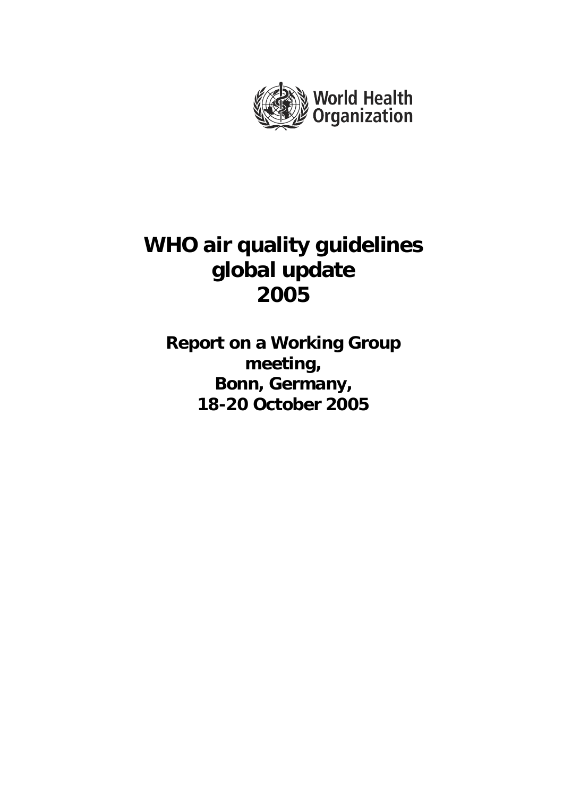

# **WHO air quality guidelines global update 2005**

**Report on a Working Group meeting, Bonn, Germany, 18-20 October 2005**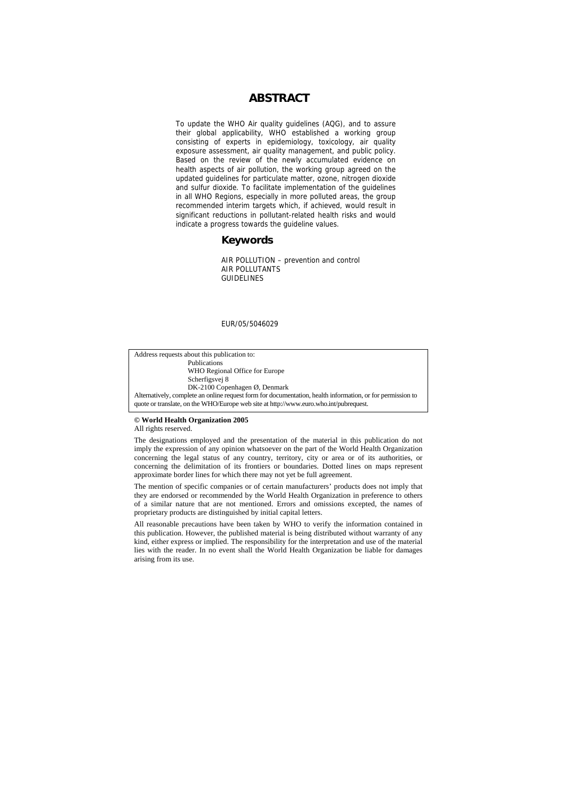#### **ABSTRACT**

To update the WHO Air quality guidelines (AQG), and to assure their global applicability, WHO established a working group consisting of experts in epidemiology, toxicology, air quality exposure assessment, air quality management, and public policy. Based on the review of the newly accumulated evidence on health aspects of air pollution, the working group agreed on the updated guidelines for particulate matter, ozone, nitrogen dioxide and sulfur dioxide. To facilitate implementation of the guidelines in all WHO Regions, especially in more polluted areas, the group recommended interim targets which, if achieved, would result in significant reductions in pollutant-related health risks and would indicate a progress towards the guideline values.

#### **Keywords**

AIR POLLUTION – prevention and control AIR POLLUTANTS GUIDELINES

#### EUR/05/5046029

Address requests about this publication to: **Publications** WHO Regional Office for Europe Scherfigsvej 8 DK-2100 Copenhagen Ø, Denmark Alternatively, complete an online request form for documentation, health information, or for permission to quote or translate, on the WHO/Europe web site at http://www.euro.who.int/pubrequest.

#### **© World Health Organization 2005**

All rights reserved.

The designations employed and the presentation of the material in this publication do not imply the expression of any opinion whatsoever on the part of the World Health Organization concerning the legal status of any country, territory, city or area or of its authorities, or concerning the delimitation of its frontiers or boundaries. Dotted lines on maps represent approximate border lines for which there may not yet be full agreement.

The mention of specific companies or of certain manufacturers' products does not imply that they are endorsed or recommended by the World Health Organization in preference to others of a similar nature that are not mentioned. Errors and omissions excepted, the names of proprietary products are distinguished by initial capital letters.

All reasonable precautions have been taken by WHO to verify the information contained in this publication. However, the published material is being distributed without warranty of any kind, either express or implied. The responsibility for the interpretation and use of the material lies with the reader. In no event shall the World Health Organization be liable for damages arising from its use.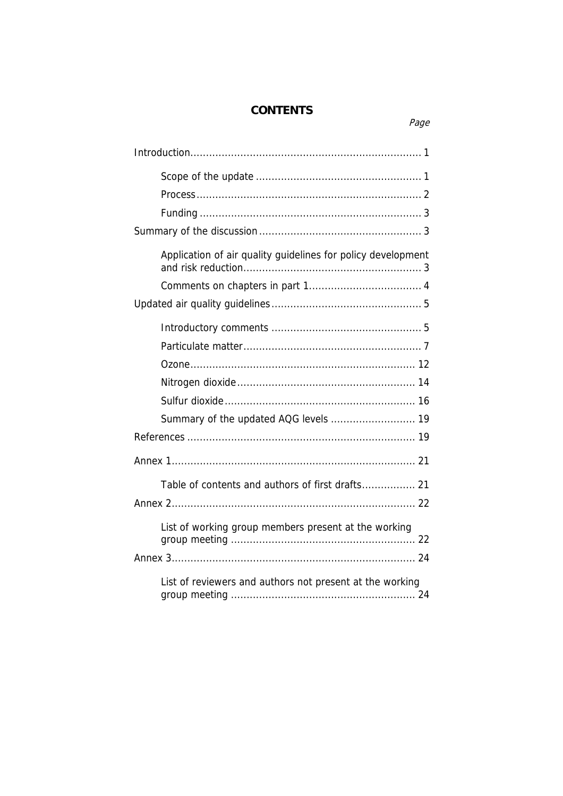#### **CONTENTS**

# Introduction Application of air quality guidelines for policy development List of working group members present at the working List of reviewers and authors not present at the working

#### Page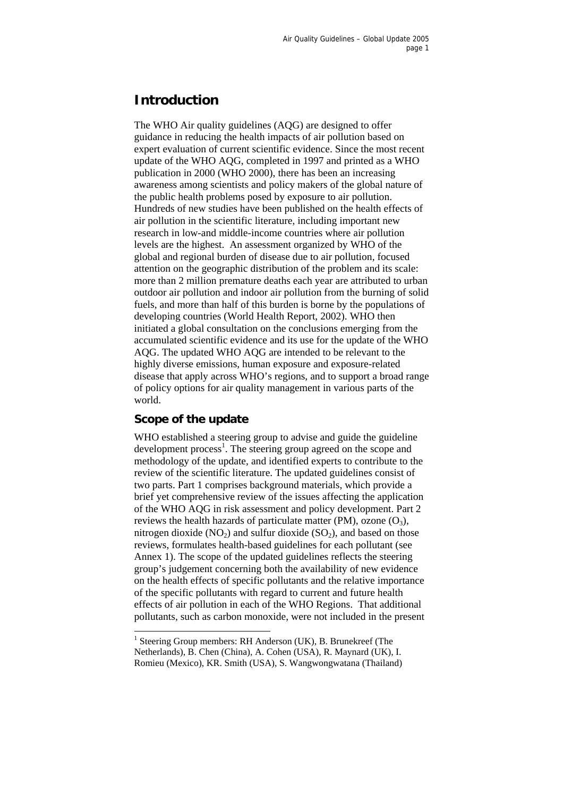# <span id="page-5-0"></span>**Introduction**

The WHO Air quality guidelines (AQG) are designed to offer guidance in reducing the health impacts of air pollution based on expert evaluation of current scientific evidence. Since the most recent update of the WHO AQG, completed in 1997 and printed as a WHO publication in 2000 (WHO 2000), there has been an increasing awareness among scientists and policy makers of the global nature of the public health problems posed by exposure to air pollution. Hundreds of new studies have been published on the health effects of air pollution in the scientific literature, including important new research in low-and middle-income countries where air pollution levels are the highest. An assessment organized by WHO of the global and regional burden of disease due to air pollution, focused attention on the geographic distribution of the problem and its scale: more than 2 million premature deaths each year are attributed to urban outdoor air pollution and indoor air pollution from the burning of solid fuels, and more than half of this burden is borne by the populations of developing countries (World Health Report, 2002). WHO then initiated a global consultation on the conclusions emerging from the accumulated scientific evidence and its use for the update of the WHO AQG. The updated WHO AQG are intended to be relevant to the highly diverse emissions, human exposure and exposure-related disease that apply across WHO's regions, and to support a broad range of policy options for air quality management in various parts of the world.

### **Scope of the update**

l

WHO established a steering group to advise and guide the guideline development process<sup>[1](#page-5-1)</sup>. The steering group agreed on the scope and methodology of the update, and identified experts to contribute to the review of the scientific literature. The updated guidelines consist of two parts. Part 1 comprises background materials, which provide a brief yet comprehensive review of the issues affecting the application of the WHO AQG in risk assessment and policy development. Part 2 reviews the health hazards of particulate matter (PM), ozone  $(O_3)$ , nitrogen dioxide  $(NO_2)$  and sulfur dioxide  $(SO_2)$ , and based on those reviews, formulates health-based guidelines for each pollutant (see Annex 1). The scope of the updated guidelines reflects the steering group's judgement concerning both the availability of new evidence on the health effects of specific pollutants and the relative importance of the specific pollutants with regard to current and future health effects of air pollution in each of the WHO Regions. That additional pollutants, such as carbon monoxide, were not included in the present

<span id="page-5-1"></span><sup>&</sup>lt;sup>1</sup> Steering Group members: RH Anderson (UK), B. Brunekreef (The Netherlands), B. Chen (China), A. Cohen (USA), R. Maynard (UK), I. Romieu (Mexico), KR. Smith (USA), S. Wangwongwatana (Thailand)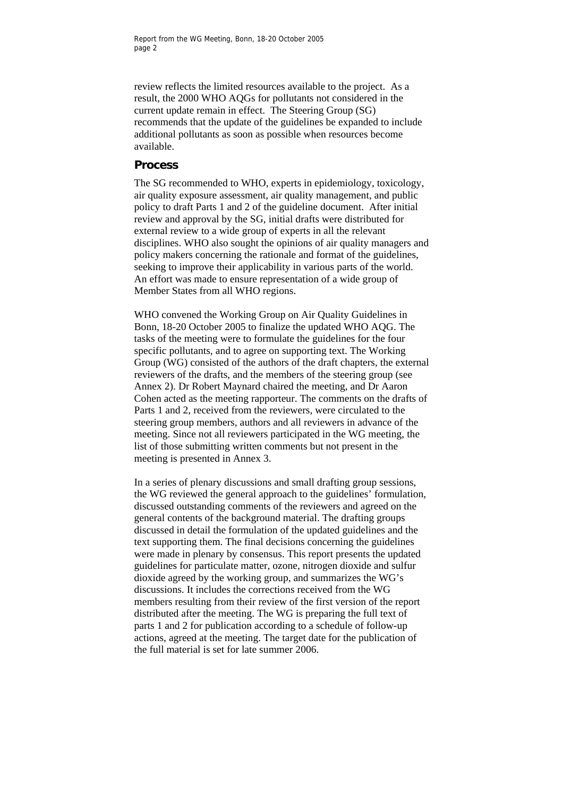<span id="page-6-0"></span>Report from the WG Meeting, Bonn, 18-20 October 2005 page 2

review reflects the limited resources available to the project. As a result, the 2000 WHO AQGs for pollutants not considered in the current update remain in effect. The Steering Group (SG) recommends that the update of the guidelines be expanded to include additional pollutants as soon as possible when resources become available.

#### **Process**

The SG recommended to WHO, experts in epidemiology, toxicology, air quality exposure assessment, air quality management, and public policy to draft Parts 1 and 2 of the guideline document. After initial review and approval by the SG, initial drafts were distributed for external review to a wide group of experts in all the relevant disciplines. WHO also sought the opinions of air quality managers and policy makers concerning the rationale and format of the guidelines, seeking to improve their applicability in various parts of the world. An effort was made to ensure representation of a wide group of Member States from all WHO regions.

WHO convened the Working Group on Air Quality Guidelines in Bonn, 18-20 October 2005 to finalize the updated WHO AQG. The tasks of the meeting were to formulate the guidelines for the four specific pollutants, and to agree on supporting text. The Working Group (WG) consisted of the authors of the draft chapters, the external reviewers of the drafts, and the members of the steering group (see Annex 2). Dr Robert Maynard chaired the meeting, and Dr Aaron Cohen acted as the meeting rapporteur. The comments on the drafts of Parts 1 and 2, received from the reviewers, were circulated to the steering group members, authors and all reviewers in advance of the meeting. Since not all reviewers participated in the WG meeting, the list of those submitting written comments but not present in the meeting is presented in Annex 3.

In a series of plenary discussions and small drafting group sessions, the WG reviewed the general approach to the guidelines' formulation, discussed outstanding comments of the reviewers and agreed on the general contents of the background material. The drafting groups discussed in detail the formulation of the updated guidelines and the text supporting them. The final decisions concerning the guidelines were made in plenary by consensus. This report presents the updated guidelines for particulate matter, ozone, nitrogen dioxide and sulfur dioxide agreed by the working group, and summarizes the WG's discussions. It includes the corrections received from the WG members resulting from their review of the first version of the report distributed after the meeting. The WG is preparing the full text of parts 1 and 2 for publication according to a schedule of follow-up actions, agreed at the meeting. The target date for the publication of the full material is set for late summer 2006.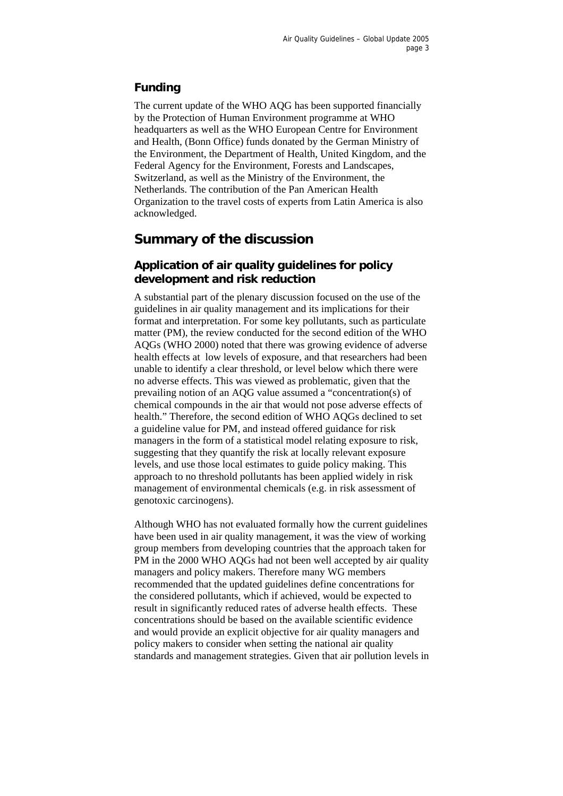#### <span id="page-7-0"></span>**Funding**

The current update of the WHO AQG has been supported financially by the Protection of Human Environment programme at WHO headquarters as well as the WHO European Centre for Environment and Health, (Bonn Office) funds donated by the German Ministry of the Environment, the Department of Health, United Kingdom, and the Federal Agency for the Environment, Forests and Landscapes, Switzerland, as well as the Ministry of the Environment, the Netherlands. The contribution of the Pan American Health Organization to the travel costs of experts from Latin America is also acknowledged.

# **Summary of the discussion**

### **Application of air quality guidelines for policy development and risk reduction**

A substantial part of the plenary discussion focused on the use of the guidelines in air quality management and its implications for their format and interpretation. For some key pollutants, such as particulate matter (PM), the review conducted for the second edition of the WHO AQGs (WHO 2000) noted that there was growing evidence of adverse health effects at low levels of exposure, and that researchers had been unable to identify a clear threshold, or level below which there were no adverse effects. This was viewed as problematic, given that the prevailing notion of an AQG value assumed a "concentration(s) of chemical compounds in the air that would not pose adverse effects of health." Therefore, the second edition of WHO AQGs declined to set a guideline value for PM, and instead offered guidance for risk managers in the form of a statistical model relating exposure to risk, suggesting that they quantify the risk at locally relevant exposure levels, and use those local estimates to guide policy making. This approach to no threshold pollutants has been applied widely in risk management of environmental chemicals (e.g. in risk assessment of genotoxic carcinogens).

Although WHO has not evaluated formally how the current guidelines have been used in air quality management, it was the view of working group members from developing countries that the approach taken for PM in the 2000 WHO AQGs had not been well accepted by air quality managers and policy makers. Therefore many WG members recommended that the updated guidelines define concentrations for the considered pollutants, which if achieved, would be expected to result in significantly reduced rates of adverse health effects. These concentrations should be based on the available scientific evidence and would provide an explicit objective for air quality managers and policy makers to consider when setting the national air quality standards and management strategies. Given that air pollution levels in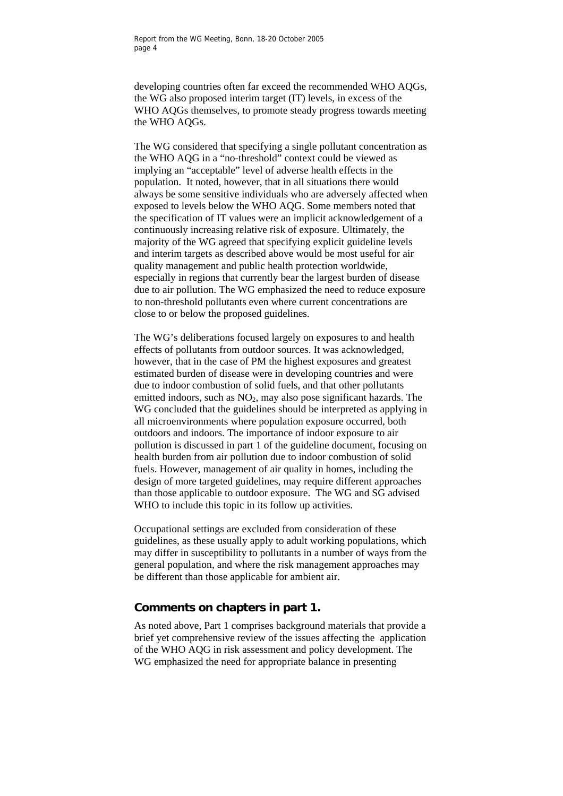<span id="page-8-0"></span>developing countries often far exceed the recommended WHO AQGs, the WG also proposed interim target (IT) levels, in excess of the WHO AQGs themselves, to promote steady progress towards meeting the WHO AQGs.

The WG considered that specifying a single pollutant concentration as the WHO AQG in a "no-threshold" context could be viewed as implying an "acceptable" level of adverse health effects in the population. It noted, however, that in all situations there would always be some sensitive individuals who are adversely affected when exposed to levels below the WHO AQG. Some members noted that the specification of IT values were an implicit acknowledgement of a continuously increasing relative risk of exposure. Ultimately, the majority of the WG agreed that specifying explicit guideline levels and interim targets as described above would be most useful for air quality management and public health protection worldwide, especially in regions that currently bear the largest burden of disease due to air pollution. The WG emphasized the need to reduce exposure to non-threshold pollutants even where current concentrations are close to or below the proposed guidelines.

The WG's deliberations focused largely on exposures to and health effects of pollutants from outdoor sources. It was acknowledged, however, that in the case of PM the highest exposures and greatest estimated burden of disease were in developing countries and were due to indoor combustion of solid fuels, and that other pollutants emitted indoors, such as  $NO<sub>2</sub>$ , may also pose significant hazards. The WG concluded that the guidelines should be interpreted as applying in all microenvironments where population exposure occurred, both outdoors and indoors. The importance of indoor exposure to air pollution is discussed in part 1 of the guideline document, focusing on health burden from air pollution due to indoor combustion of solid fuels. However, management of air quality in homes, including the design of more targeted guidelines, may require different approaches than those applicable to outdoor exposure. The WG and SG advised WHO to include this topic in its follow up activities.

Occupational settings are excluded from consideration of these guidelines, as these usually apply to adult working populations, which may differ in susceptibility to pollutants in a number of ways from the general population, and where the risk management approaches may be different than those applicable for ambient air.

#### **Comments on chapters in part 1.**

As noted above, Part 1 comprises background materials that provide a brief yet comprehensive review of the issues affecting the application of the WHO AQG in risk assessment and policy development. The WG emphasized the need for appropriate balance in presenting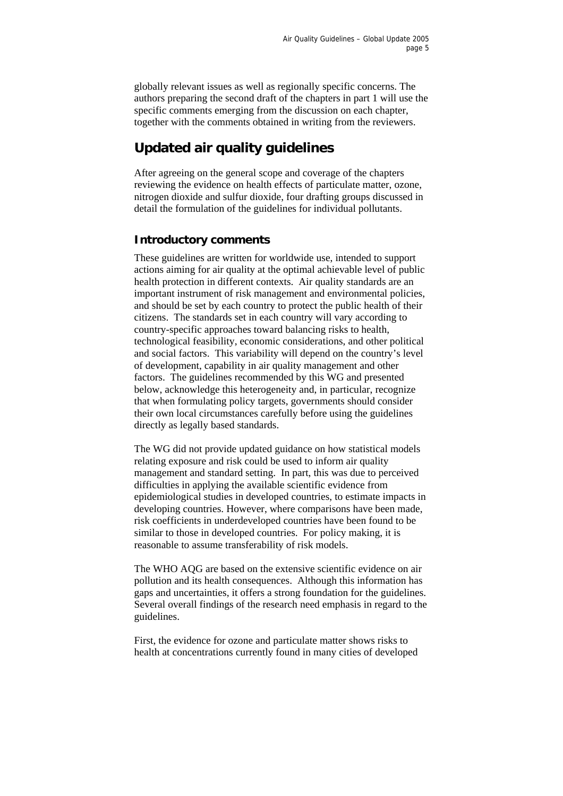<span id="page-9-0"></span>globally relevant issues as well as regionally specific concerns. The authors preparing the second draft of the chapters in part 1 will use the specific comments emerging from the discussion on each chapter, together with the comments obtained in writing from the reviewers.

# **Updated air quality guidelines**

After agreeing on the general scope and coverage of the chapters reviewing the evidence on health effects of particulate matter, ozone, nitrogen dioxide and sulfur dioxide, four drafting groups discussed in detail the formulation of the guidelines for individual pollutants.

#### **Introductory comments**

These guidelines are written for worldwide use, intended to support actions aiming for air quality at the optimal achievable level of public health protection in different contexts. Air quality standards are an important instrument of risk management and environmental policies, and should be set by each country to protect the public health of their citizens. The standards set in each country will vary according to country-specific approaches toward balancing risks to health, technological feasibility, economic considerations, and other political and social factors. This variability will depend on the country's level of development, capability in air quality management and other factors. The guidelines recommended by this WG and presented below, acknowledge this heterogeneity and, in particular, recognize that when formulating policy targets, governments should consider their own local circumstances carefully before using the guidelines directly as legally based standards.

The WG did not provide updated guidance on how statistical models relating exposure and risk could be used to inform air quality management and standard setting. In part, this was due to perceived difficulties in applying the available scientific evidence from epidemiological studies in developed countries, to estimate impacts in developing countries. However, where comparisons have been made, risk coefficients in underdeveloped countries have been found to be similar to those in developed countries. For policy making, it is reasonable to assume transferability of risk models.

The WHO AQG are based on the extensive scientific evidence on air pollution and its health consequences. Although this information has gaps and uncertainties, it offers a strong foundation for the guidelines. Several overall findings of the research need emphasis in regard to the guidelines.

First, the evidence for ozone and particulate matter shows risks to health at concentrations currently found in many cities of developed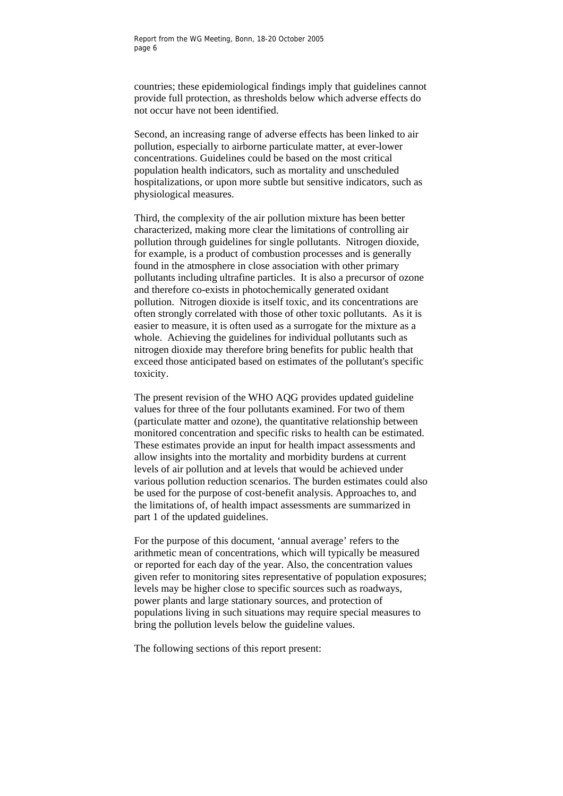countries; these epidemiological findings imply that guidelines cannot provide full protection, as thresholds below which adverse effects do not occur have not been identified.

Second, an increasing range of adverse effects has been linked to air pollution, especially to airborne particulate matter, at ever-lower concentrations. Guidelines could be based on the most critical population health indicators, such as mortality and unscheduled hospitalizations, or upon more subtle but sensitive indicators, such as physiological measures.

Third, the complexity of the air pollution mixture has been better characterized, making more clear the limitations of controlling air pollution through guidelines for single pollutants. Nitrogen dioxide, for example, is a product of combustion processes and is generally found in the atmosphere in close association with other primary pollutants including ultrafine particles. It is also a precursor of ozone and therefore co-exists in photochemically generated oxidant pollution. Nitrogen dioxide is itself toxic, and its concentrations are often strongly correlated with those of other toxic pollutants. As it is easier to measure, it is often used as a surrogate for the mixture as a whole. Achieving the guidelines for individual pollutants such as nitrogen dioxide may therefore bring benefits for public health that exceed those anticipated based on estimates of the pollutant's specific toxicity.

The present revision of the WHO AQG provides updated guideline values for three of the four pollutants examined. For two of them (particulate matter and ozone), the quantitative relationship between monitored concentration and specific risks to health can be estimated. These estimates provide an input for health impact assessments and allow insights into the mortality and morbidity burdens at current levels of air pollution and at levels that would be achieved under various pollution reduction scenarios. The burden estimates could also be used for the purpose of cost-benefit analysis. Approaches to, and the limitations of, of health impact assessments are summarized in part 1 of the updated guidelines.

For the purpose of this document, 'annual average' refers to the arithmetic mean of concentrations, which will typically be measured or reported for each day of the year. Also, the concentration values given refer to monitoring sites representative of population exposures; levels may be higher close to specific sources such as roadways, power plants and large stationary sources, and protection of populations living in such situations may require special measures to bring the pollution levels below the guideline values.

The following sections of this report present: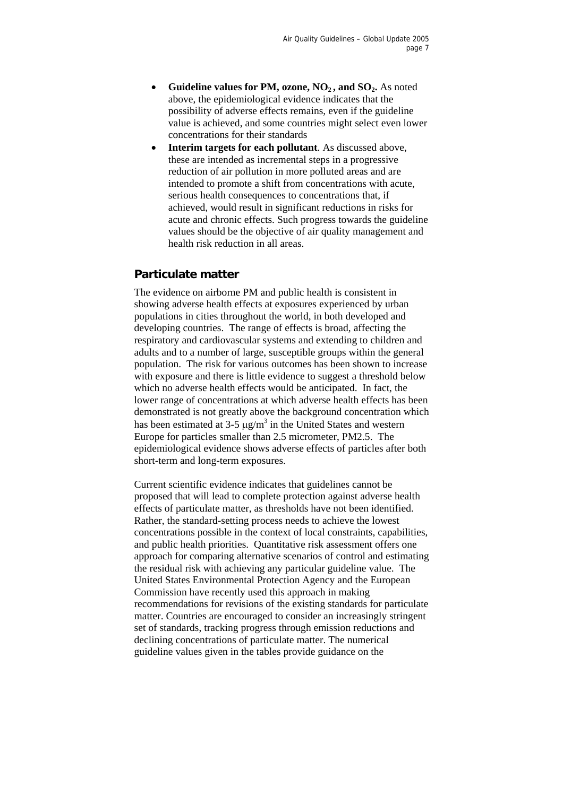- <span id="page-11-0"></span>Guideline values for PM, ozone, NO<sub>2</sub>, and SO<sub>2</sub>. As noted above, the epidemiological evidence indicates that the possibility of adverse effects remains, even if the guideline value is achieved, and some countries might select even lower concentrations for their standards
- **Interim targets for each pollutant**. As discussed above, these are intended as incremental steps in a progressive reduction of air pollution in more polluted areas and are intended to promote a shift from concentrations with acute, serious health consequences to concentrations that, if achieved, would result in significant reductions in risks for acute and chronic effects. Such progress towards the guideline values should be the objective of air quality management and health risk reduction in all areas.

#### **Particulate matter**

The evidence on airborne PM and public health is consistent in showing adverse health effects at exposures experienced by urban populations in cities throughout the world, in both developed and developing countries. The range of effects is broad, affecting the respiratory and cardiovascular systems and extending to children and adults and to a number of large, susceptible groups within the general population. The risk for various outcomes has been shown to increase with exposure and there is little evidence to suggest a threshold below which no adverse health effects would be anticipated. In fact, the lower range of concentrations at which adverse health effects has been demonstrated is not greatly above the background concentration which has been estimated at  $3-5 \mu g/m^3$  in the United States and western Europe for particles smaller than 2.5 micrometer, PM2.5. The epidemiological evidence shows adverse effects of particles after both short-term and long-term exposures.

Current scientific evidence indicates that guidelines cannot be proposed that will lead to complete protection against adverse health effects of particulate matter, as thresholds have not been identified. Rather, the standard-setting process needs to achieve the lowest concentrations possible in the context of local constraints, capabilities, and public health priorities. Quantitative risk assessment offers one approach for comparing alternative scenarios of control and estimating the residual risk with achieving any particular guideline value. The United States Environmental Protection Agency and the European Commission have recently used this approach in making recommendations for revisions of the existing standards for particulate matter. Countries are encouraged to consider an increasingly stringent set of standards, tracking progress through emission reductions and declining concentrations of particulate matter. The numerical guideline values given in the tables provide guidance on the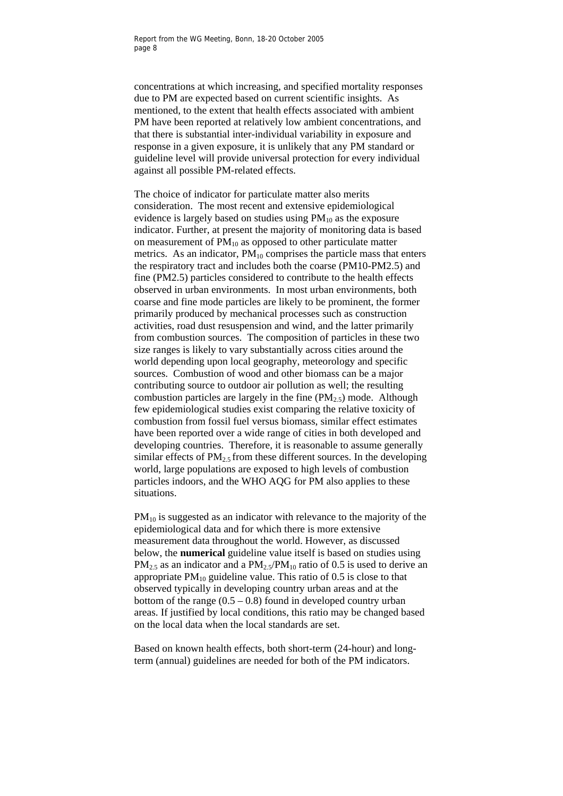concentrations at which increasing, and specified mortality responses due to PM are expected based on current scientific insights. As mentioned, to the extent that health effects associated with ambient PM have been reported at relatively low ambient concentrations, and that there is substantial inter-individual variability in exposure and response in a given exposure, it is unlikely that any PM standard or guideline level will provide universal protection for every individual against all possible PM-related effects.

The choice of indicator for particulate matter also merits consideration. The most recent and extensive epidemiological evidence is largely based on studies using  $PM_{10}$  as the exposure indicator. Further, at present the majority of monitoring data is based on measurement of  $PM_{10}$  as opposed to other particulate matter metrics. As an indicator,  $PM_{10}$  comprises the particle mass that enters the respiratory tract and includes both the coarse (PM10-PM2.5) and fine (PM2.5) particles considered to contribute to the health effects observed in urban environments. In most urban environments, both coarse and fine mode particles are likely to be prominent, the former primarily produced by mechanical processes such as construction activities, road dust resuspension and wind, and the latter primarily from combustion sources. The composition of particles in these two size ranges is likely to vary substantially across cities around the world depending upon local geography, meteorology and specific sources. Combustion of wood and other biomass can be a major contributing source to outdoor air pollution as well; the resulting combustion particles are largely in the fine  $(PM<sub>2.5</sub>)$  mode. Although few epidemiological studies exist comparing the relative toxicity of combustion from fossil fuel versus biomass, similar effect estimates have been reported over a wide range of cities in both developed and developing countries. Therefore, it is reasonable to assume generally similar effects of  $PM_{2.5}$  from these different sources. In the developing world, large populations are exposed to high levels of combustion particles indoors, and the WHO AQG for PM also applies to these situations.

 $PM_{10}$  is suggested as an indicator with relevance to the majority of the epidemiological data and for which there is more extensive measurement data throughout the world. However, as discussed below, the **numerical** guideline value itself is based on studies using  $PM_{2.5}$  as an indicator and a  $PM_{2.5}/PM_{10}$  ratio of 0.5 is used to derive an appropriate  $PM_{10}$  guideline value. This ratio of 0.5 is close to that observed typically in developing country urban areas and at the bottom of the range  $(0.5 - 0.8)$  found in developed country urban areas. If justified by local conditions, this ratio may be changed based on the local data when the local standards are set.

Based on known health effects, both short-term (24-hour) and longterm (annual) guidelines are needed for both of the PM indicators.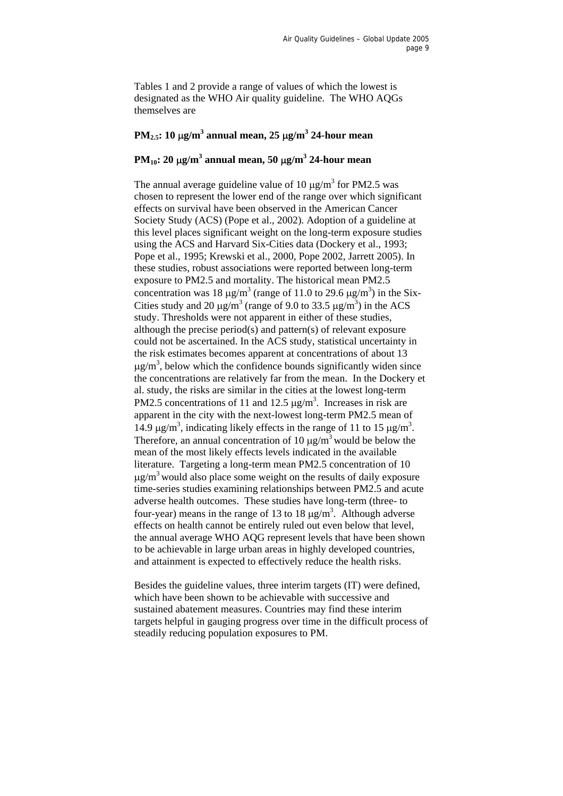Tables 1 and 2 provide a range of values of which the lowest is designated as the WHO Air quality guideline. The WHO AQGs themselves are

#### **PM2.5: 10** µ**g/m3 annual mean, 25** µ**g/m<sup>3</sup> 24-hour mean**

#### **PM10: 20** µ**g/m3 annual mean, 50** µ**g/m<sup>3</sup> 24-hour mean**

The annual average guideline value of 10  $\mu$ g/m<sup>3</sup> for PM2.5 was chosen to represent the lower end of the range over which significant effects on survival have been observed in the American Cancer Society Study (ACS) (Pope et al., 2002). Adoption of a guideline at this level places significant weight on the long-term exposure studies using the ACS and Harvard Six-Cities data (Dockery et al., 1993; Pope et al., 1995; Krewski et al., 2000, Pope 2002, Jarrett 2005). In these studies, robust associations were reported between long-term exposure to PM2.5 and mortality. The historical mean PM2.5 concentration was 18  $\mu$ g/m<sup>3</sup> (range of 11.0 to 29.6  $\mu$ g/m<sup>3</sup>) in the Six-Cities study and 20  $\mu$ g/m<sup>3</sup> (range of 9.0 to 33.5  $\mu$ g/m<sup>3</sup>) in the ACS study. Thresholds were not apparent in either of these studies, although the precise period(s) and pattern(s) of relevant exposure could not be ascertained. In the ACS study, statistical uncertainty in the risk estimates becomes apparent at concentrations of about 13  $\mu$ g/m<sup>3</sup>, below which the confidence bounds significantly widen since the concentrations are relatively far from the mean. In the Dockery et al. study, the risks are similar in the cities at the lowest long-term PM2.5 concentrations of 11 and 12.5  $\mu$ g/m<sup>3</sup>. Increases in risk are apparent in the city with the next-lowest long-term PM2.5 mean of 14.9  $\mu$ g/m<sup>3</sup>, indicating likely effects in the range of 11 to 15  $\mu$ g/m<sup>3</sup>. Therefore, an annual concentration of 10  $\mu$ g/m<sup>3</sup> would be below the mean of the most likely effects levels indicated in the available literature. Targeting a long-term mean PM2.5 concentration of 10  $\mu$ g/m<sup>3</sup> would also place some weight on the results of daily exposure time-series studies examining relationships between PM2.5 and acute adverse health outcomes. These studies have long-term (three- to four-year) means in the range of 13 to 18  $\mu$ g/m<sup>3</sup>. Although adverse effects on health cannot be entirely ruled out even below that level, the annual average WHO AQG represent levels that have been shown to be achievable in large urban areas in highly developed countries, and attainment is expected to effectively reduce the health risks.

Besides the guideline values, three interim targets (IT) were defined, which have been shown to be achievable with successive and sustained abatement measures. Countries may find these interim targets helpful in gauging progress over time in the difficult process of steadily reducing population exposures to PM.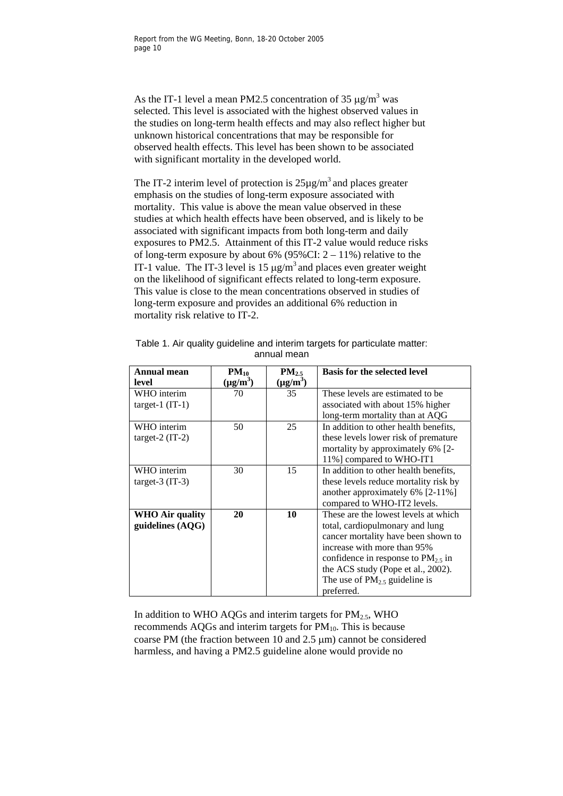As the IT-1 level a mean PM2.5 concentration of 35  $\mu$ g/m<sup>3</sup> was selected. This level is associated with the highest observed values in the studies on long-term health effects and may also reflect higher but unknown historical concentrations that may be responsible for observed health effects. This level has been shown to be associated with significant mortality in the developed world.

The IT-2 interim level of protection is  $25\mu g/m<sup>3</sup>$  and places greater emphasis on the studies of long-term exposure associated with mortality. This value is above the mean value observed in these studies at which health effects have been observed, and is likely to be associated with significant impacts from both long-term and daily exposures to PM2.5. Attainment of this IT-2 value would reduce risks of long-term exposure by about 6% (95%CI:  $2 - 11\%$ ) relative to the IT-1 value. The IT-3 level is  $15 \mu g/m^3$  and places even greater weight on the likelihood of significant effects related to long-term exposure. This value is close to the mean concentrations observed in studies of long-term exposure and provides an additional 6% reduction in mortality risk relative to IT-2.

| <b>Annual mean</b>                           | $PM_{10}$     | $PM_{2.5}$    | <b>Basis for the selected level</b>                                                                                                                                                                                                                                              |
|----------------------------------------------|---------------|---------------|----------------------------------------------------------------------------------------------------------------------------------------------------------------------------------------------------------------------------------------------------------------------------------|
| level                                        | $(\mu g/m^3)$ | $(\mu g/m^3)$ |                                                                                                                                                                                                                                                                                  |
| WHO interim<br>target-1 $(IT-1)$             | 70            | 35            | These levels are estimated to be<br>associated with about 15% higher                                                                                                                                                                                                             |
|                                              |               |               | long-term mortality than at AQG                                                                                                                                                                                                                                                  |
| WHO interim<br>target- $2$ (IT-2)            | 50            | 25            | In addition to other health benefits,<br>these levels lower risk of premature<br>mortality by approximately 6% [2-<br>11%] compared to WHO-IT1                                                                                                                                   |
| WHO interim<br>target-3 $(IT-3)$             | 30            | 15            | In addition to other health benefits,<br>these levels reduce mortality risk by<br>another approximately $6\%$ [2-11\%]<br>compared to WHO-IT2 levels.                                                                                                                            |
| <b>WHO Air quality</b><br>guidelines $(AQG)$ | 20            | 10            | These are the lowest levels at which<br>total, cardiopulmonary and lung<br>cancer mortality have been shown to<br>increase with more than 95%<br>confidence in response to $PM_2$ , in<br>the ACS study (Pope et al., 2002).<br>The use of $PM_{2.5}$ guideline is<br>preferred. |

Table 1. Air quality guideline and interim targets for particulate matter: annual mean

In addition to WHO AQGs and interim targets for  $PM<sub>2.5</sub>$ , WHO recommends AQGs and interim targets for  $PM_{10}$ . This is because coarse PM (the fraction between 10 and 2.5 µm) cannot be considered harmless, and having a PM2.5 guideline alone would provide no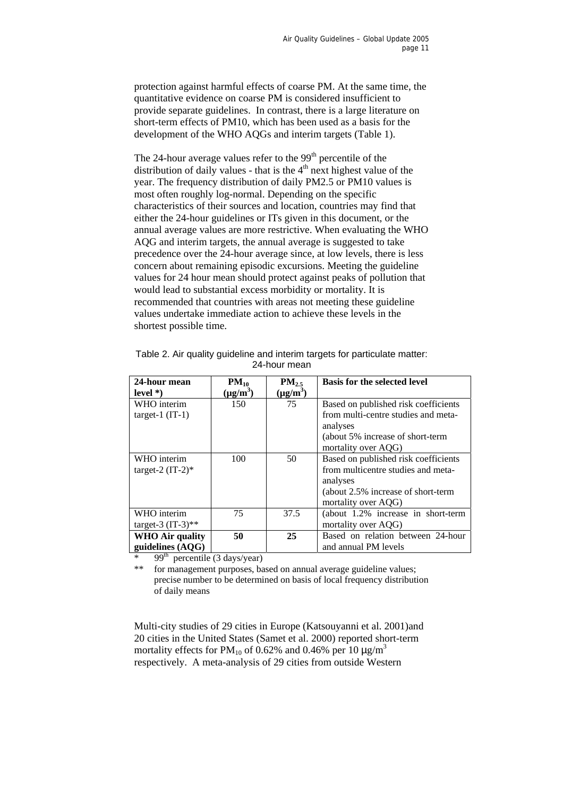protection against harmful effects of coarse PM. At the same time, the quantitative evidence on coarse PM is considered insufficient to provide separate guidelines. In contrast, there is a large literature on short-term effects of PM10, which has been used as a basis for the development of the WHO AQGs and interim targets (Table 1).

The 24-hour average values refer to the  $99<sup>th</sup>$  percentile of the distribution of daily values - that is the  $4<sup>th</sup>$  next highest value of the year. The frequency distribution of daily PM2.5 or PM10 values is most often roughly log-normal. Depending on the specific characteristics of their sources and location, countries may find that either the 24-hour guidelines or ITs given in this document, or the annual average values are more restrictive. When evaluating the WHO AQG and interim targets, the annual average is suggested to take precedence over the 24-hour average since, at low levels, there is less concern about remaining episodic excursions. Meeting the guideline values for 24 hour mean should protect against peaks of pollution that would lead to substantial excess morbidity or mortality. It is recommended that countries with areas not meeting these guideline values undertake immediate action to achieve these levels in the shortest possible time.

| 24-hour mean<br>$level(*)$                   | $PM_{10}$<br>$(\mu g/m^3)$ | $PM_{2.5}$<br>$(\mu g/m^3)$ | <b>Basis for the selected level</b>                                                                                                                 |
|----------------------------------------------|----------------------------|-----------------------------|-----------------------------------------------------------------------------------------------------------------------------------------------------|
| WHO interim<br>target-1 $(IT-1)$             | 150                        | 75                          | Based on published risk coefficients<br>from multi-centre studies and meta-<br>analyses<br>(about 5% increase of short-term<br>mortality over AQG)  |
| WHO interim<br>target-2 $(IT-2)^*$           | 100                        | 50                          | Based on published risk coefficients<br>from multicentre studies and meta-<br>analyses<br>(about 2.5% increase of short-term<br>mortality over AQG) |
| WHO interim<br>target-3 $(IT-3)**$           | 75                         | 37.5                        | (about 1.2% increase in short-term<br>mortality over AOG)                                                                                           |
| <b>WHO Air quality</b><br>guidelines $(AOG)$ | 50                         | 25                          | Based on relation between 24-hour<br>and annual PM levels                                                                                           |

Table 2. Air quality guideline and interim targets for particulate matter: 24-hour mean

\* 99<sup>th</sup> percentile (3 days/year)

for management purposes, based on annual average guideline values; precise number to be determined on basis of local frequency distribution of daily means

Multi-city studies of 29 cities in Europe (Katsouyanni et al. 2001)and 20 cities in the United States (Samet et al. 2000) reported short-term mortality effects for PM<sub>10</sub> of 0.62% and 0.46% per 10  $\mu$ g/m<sup>3</sup> respectively. A meta-analysis of 29 cities from outside Western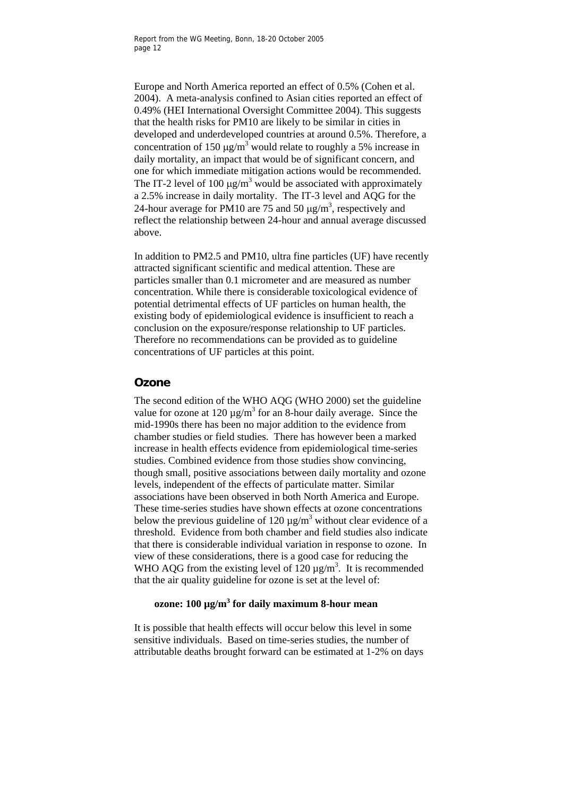<span id="page-16-0"></span>Europe and North America reported an effect of 0.5% (Cohen et al. 2004). A meta-analysis confined to Asian cities reported an effect of 0.49% (HEI International Oversight Committee 2004). This suggests that the health risks for PM10 are likely to be similar in cities in developed and underdeveloped countries at around 0.5%. Therefore, a concentration of 150  $\mu$ g/m<sup>3</sup> would relate to roughly a 5% increase in daily mortality, an impact that would be of significant concern, and one for which immediate mitigation actions would be recommended. The IT-2 level of 100  $\mu$ g/m<sup>3</sup> would be associated with approximately a 2.5% increase in daily mortality. The IT-3 level and AQG for the 24-hour average for PM10 are 75 and 50  $\mu$ g/m<sup>3</sup>, respectively and reflect the relationship between 24-hour and annual average discussed above.

In addition to PM2.5 and PM10, ultra fine particles (UF) have recently attracted significant scientific and medical attention. These are particles smaller than 0.1 micrometer and are measured as number concentration. While there is considerable toxicological evidence of potential detrimental effects of UF particles on human health, the existing body of epidemiological evidence is insufficient to reach a conclusion on the exposure/response relationship to UF particles. Therefore no recommendations can be provided as to guideline concentrations of UF particles at this point.

#### **Ozone**

The second edition of the WHO AQG (WHO 2000) set the guideline value for ozone at 120  $\mu$ g/m<sup>3</sup> for an 8-hour daily average. Since the mid-1990s there has been no major addition to the evidence from chamber studies or field studies. There has however been a marked increase in health effects evidence from epidemiological time-series studies. Combined evidence from those studies show convincing, though small, positive associations between daily mortality and ozone levels, independent of the effects of particulate matter. Similar associations have been observed in both North America and Europe. These time-series studies have shown effects at ozone concentrations below the previous guideline of  $120 \mu g/m^3$  without clear evidence of a threshold. Evidence from both chamber and field studies also indicate that there is considerable individual variation in response to ozone. In view of these considerations, there is a good case for reducing the WHO AQG from the existing level of  $120 \mu g/m<sup>3</sup>$ . It is recommended that the air quality guideline for ozone is set at the level of:

#### **ozone: 100 µg/m3 for daily maximum 8-hour mean**

It is possible that health effects will occur below this level in some sensitive individuals. Based on time-series studies, the number of attributable deaths brought forward can be estimated at 1-2% on days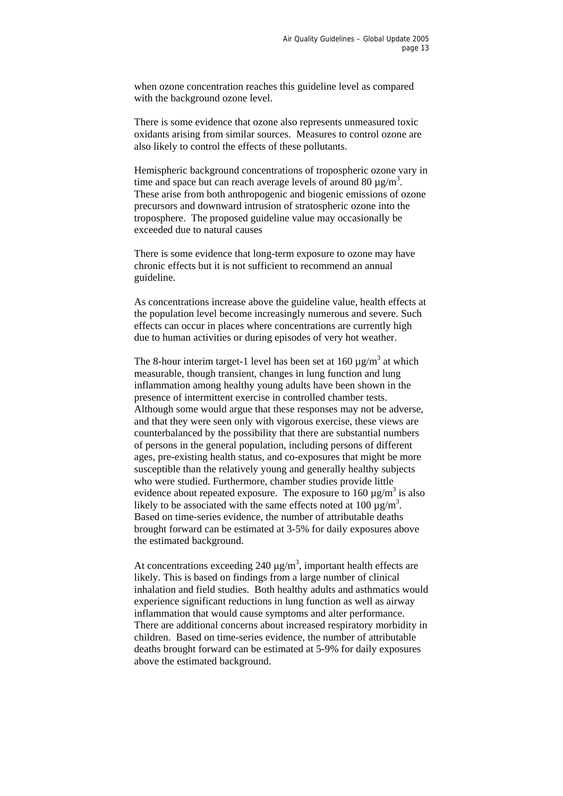when ozone concentration reaches this guideline level as compared with the background ozone level.

There is some evidence that ozone also represents unmeasured toxic oxidants arising from similar sources. Measures to control ozone are also likely to control the effects of these pollutants.

Hemispheric background concentrations of tropospheric ozone vary in time and space but can reach average levels of around 80  $\mu$ g/m<sup>3</sup>. These arise from both anthropogenic and biogenic emissions of ozone precursors and downward intrusion of stratospheric ozone into the troposphere. The proposed guideline value may occasionally be exceeded due to natural causes

There is some evidence that long-term exposure to ozone may have chronic effects but it is not sufficient to recommend an annual guideline.

As concentrations increase above the guideline value, health effects at the population level become increasingly numerous and severe. Such effects can occur in places where concentrations are currently high due to human activities or during episodes of very hot weather.

The 8-hour interim target-1 level has been set at  $160 \mu g/m^3$  at which measurable, though transient, changes in lung function and lung inflammation among healthy young adults have been shown in the presence of intermittent exercise in controlled chamber tests. Although some would argue that these responses may not be adverse, and that they were seen only with vigorous exercise, these views are counterbalanced by the possibility that there are substantial numbers of persons in the general population, including persons of different ages, pre-existing health status, and co-exposures that might be more susceptible than the relatively young and generally healthy subjects who were studied. Furthermore, chamber studies provide little evidence about repeated exposure. The exposure to 160  $\mu$ g/m<sup>3</sup> is also likely to be associated with the same effects noted at  $100 \mu g/m^3$ . Based on time-series evidence, the number of attributable deaths brought forward can be estimated at 3-5% for daily exposures above the estimated background.

At concentrations exceeding 240  $\mu$ g/m<sup>3</sup>, important health effects are likely. This is based on findings from a large number of clinical inhalation and field studies. Both healthy adults and asthmatics would experience significant reductions in lung function as well as airway inflammation that would cause symptoms and alter performance. There are additional concerns about increased respiratory morbidity in children. Based on time-series evidence, the number of attributable deaths brought forward can be estimated at 5-9% for daily exposures above the estimated background.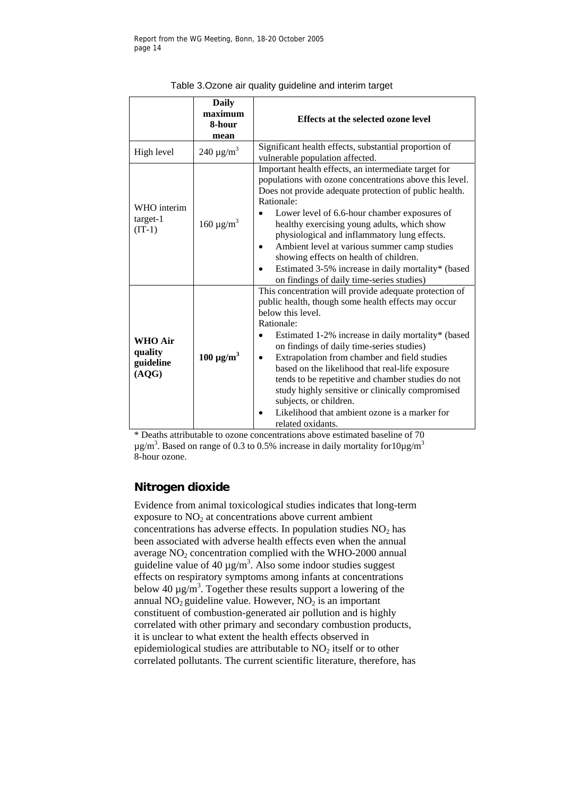<span id="page-18-0"></span>

|                                                 | <b>Daily</b><br>maximum<br>8-hour<br>mean | Effects at the selected ozone level                                                                                                                                                                                                                                                                                                                                                                                                                                                                                                                             |  |
|-------------------------------------------------|-------------------------------------------|-----------------------------------------------------------------------------------------------------------------------------------------------------------------------------------------------------------------------------------------------------------------------------------------------------------------------------------------------------------------------------------------------------------------------------------------------------------------------------------------------------------------------------------------------------------------|--|
| High level                                      | $240 \mu g/m^3$                           | Significant health effects, substantial proportion of<br>vulnerable population affected.                                                                                                                                                                                                                                                                                                                                                                                                                                                                        |  |
| WHO interim<br>target-1<br>$(IT-1)$             | $160 \mu g/m^3$                           | Important health effects, an intermediate target for<br>populations with ozone concentrations above this level.<br>Does not provide adequate protection of public health.<br>Rationale:<br>Lower level of 6.6-hour chamber exposures of<br>healthy exercising young adults, which show<br>physiological and inflammatory lung effects.<br>Ambient level at various summer camp studies<br>showing effects on health of children.<br>Estimated 3-5% increase in daily mortality* (based<br>on findings of daily time-series studies)                             |  |
| <b>WHO Air</b><br>quality<br>guideline<br>(AQG) | 100 μg/m <sup>3</sup>                     | This concentration will provide adequate protection of<br>public health, though some health effects may occur<br>below this level.<br>Rationale:<br>Estimated 1-2% increase in daily mortality* (based<br>on findings of daily time-series studies)<br>Extrapolation from chamber and field studies<br>based on the likelihood that real-life exposure<br>tends to be repetitive and chamber studies do not<br>study highly sensitive or clinically compromised<br>subjects, or children.<br>Likelihood that ambient ozone is a marker for<br>related oxidants. |  |

Table 3.Ozone air quality guideline and interim target

\* Deaths attributable to ozone concentrations above estimated baseline of 70  $\mu$ g/m<sup>3</sup>. Based on range of 0.3 to 0.5% increase in daily mortality for  $10\mu$ g/m<sup>3</sup> 8-hour ozone.

## **Nitrogen dioxide**

Evidence from animal toxicological studies indicates that long-term exposure to  $NO<sub>2</sub>$  at concentrations above current ambient concentrations has adverse effects. In population studies  $NO<sub>2</sub>$  has been associated with adverse health effects even when the annual average  $NO<sub>2</sub>$  concentration complied with the WHO-2000 annual guideline value of 40  $\mu$ g/m<sup>3</sup>. Also some indoor studies suggest effects on respiratory symptoms among infants at concentrations below 40  $\mu$ g/m<sup>3</sup>. Together these results support a lowering of the annual  $NO<sub>2</sub>$  guideline value. However,  $NO<sub>2</sub>$  is an important constituent of combustion-generated air pollution and is highly correlated with other primary and secondary combustion products, it is unclear to what extent the health effects observed in epidemiological studies are attributable to  $NO<sub>2</sub>$  itself or to other correlated pollutants. The current scientific literature, therefore, has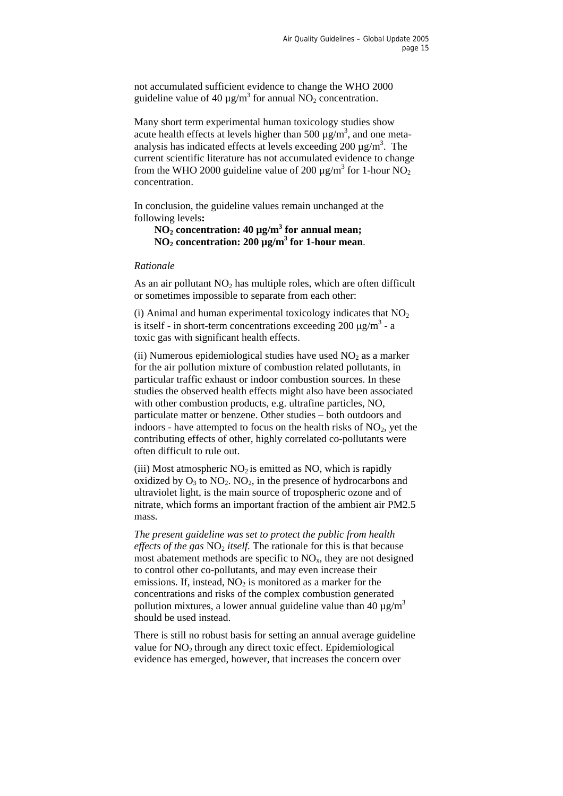not accumulated sufficient evidence to change the WHO 2000 guideline value of 40  $\mu$ g/m<sup>3</sup> for annual NO<sub>2</sub> concentration.

Many short term experimental human toxicology studies show acute health effects at levels higher than 500  $\mu$ g/m<sup>3</sup>, and one metaanalysis has indicated effects at levels exceeding  $200 \mu g/m^3$ . The current scientific literature has not accumulated evidence to change from the WHO 2000 guideline value of 200  $\mu$ g/m<sup>3</sup> for 1-hour NO<sub>2</sub> concentration.

In conclusion, the guideline values remain unchanged at the following levels**:** 

#### $NO<sub>2</sub>$  concentration: 40  $\mu$ g/m<sup>3</sup> for annual mean;  $NO<sub>2</sub>$  concentration: 200  $\mu$ g/m<sup>3</sup> for 1-hour mean.

#### *Rationale*

As an air pollutant  $NO<sub>2</sub>$  has multiple roles, which are often difficult or sometimes impossible to separate from each other:

(i) Animal and human experimental toxicology indicates that  $NO<sub>2</sub>$ is itself - in short-term concentrations exceeding  $200 \mu g/m^3$  - a toxic gas with significant health effects.

(ii) Numerous epidemiological studies have used  $NO<sub>2</sub>$  as a marker for the air pollution mixture of combustion related pollutants, in particular traffic exhaust or indoor combustion sources. In these studies the observed health effects might also have been associated with other combustion products, e.g. ultrafine particles, NO, particulate matter or benzene. Other studies – both outdoors and indoors - have attempted to focus on the health risks of  $NO<sub>2</sub>$ , yet the contributing effects of other, highly correlated co-pollutants were often difficult to rule out.

(iii) Most atmospheric  $NO<sub>2</sub>$  is emitted as NO, which is rapidly oxidized by  $O_3$  to  $NO_2$ .  $NO_2$ , in the presence of hydrocarbons and ultraviolet light, is the main source of tropospheric ozone and of nitrate, which forms an important fraction of the ambient air PM2.5 mass.

*The present guideline was set to protect the public from health effects of the gas* NO<sub>2</sub> *itself.* The rationale for this is that because most abatement methods are specific to  $NO<sub>x</sub>$ , they are not designed to control other co-pollutants, and may even increase their emissions. If, instead,  $NO<sub>2</sub>$  is monitored as a marker for the concentrations and risks of the complex combustion generated pollution mixtures, a lower annual guideline value than 40  $\mu$ g/m<sup>3</sup> should be used instead.

There is still no robust basis for setting an annual average guideline value for NO<sub>2</sub> through any direct toxic effect. Epidemiological evidence has emerged, however, that increases the concern over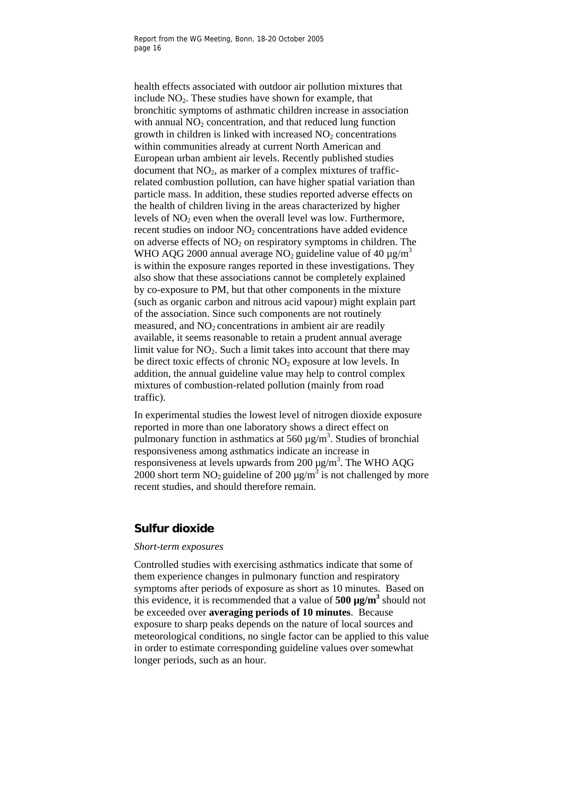<span id="page-20-0"></span>health effects associated with outdoor air pollution mixtures that include  $NO<sub>2</sub>$ . These studies have shown for example, that bronchitic symptoms of asthmatic children increase in association with annual  $NO<sub>2</sub>$  concentration, and that reduced lung function growth in children is linked with increased  $NO<sub>2</sub>$  concentrations within communities already at current North American and European urban ambient air levels. Recently published studies document that  $NO<sub>2</sub>$ , as marker of a complex mixtures of trafficrelated combustion pollution, can have higher spatial variation than particle mass. In addition, these studies reported adverse effects on the health of children living in the areas characterized by higher levels of  $NO<sub>2</sub>$  even when the overall level was low. Furthermore, recent studies on indoor  $NO<sub>2</sub>$  concentrations have added evidence on adverse effects of  $NO<sub>2</sub>$  on respiratory symptoms in children. The WHO AOG 2000 annual average NO<sub>2</sub> guideline value of 40  $\mu$ g/m<sup>3</sup> is within the exposure ranges reported in these investigations. They also show that these associations cannot be completely explained by co-exposure to PM, but that other components in the mixture (such as organic carbon and nitrous acid vapour) might explain part of the association. Since such components are not routinely measured, and  $NO<sub>2</sub>$  concentrations in ambient air are readily available, it seems reasonable to retain a prudent annual average limit value for  $NO<sub>2</sub>$ . Such a limit takes into account that there may be direct toxic effects of chronic  $NO<sub>2</sub>$  exposure at low levels. In addition, the annual guideline value may help to control complex mixtures of combustion-related pollution (mainly from road traffic).

In experimental studies the lowest level of nitrogen dioxide exposure reported in more than one laboratory shows a direct effect on pulmonary function in asthmatics at  $560 \mu g/m<sup>3</sup>$ . Studies of bronchial responsiveness among asthmatics indicate an increase in responsiveness at levels upwards from 200  $\mu$ g/m<sup>3</sup>. The WHO AQG 2000 short term NO<sub>2</sub> guideline of 200  $\mu$ g/m<sup>3</sup> is not challenged by more recent studies, and should therefore remain.

#### **Sulfur dioxide**

#### *Short-term exposures*

Controlled studies with exercising asthmatics indicate that some of them experience changes in pulmonary function and respiratory symptoms after periods of exposure as short as 10 minutes. Based on this evidence, it is recommended that a value of  $500 \mu g/m<sup>3</sup>$  should not be exceeded over **averaging periods of 10 minutes**. Because exposure to sharp peaks depends on the nature of local sources and meteorological conditions, no single factor can be applied to this value in order to estimate corresponding guideline values over somewhat longer periods, such as an hour.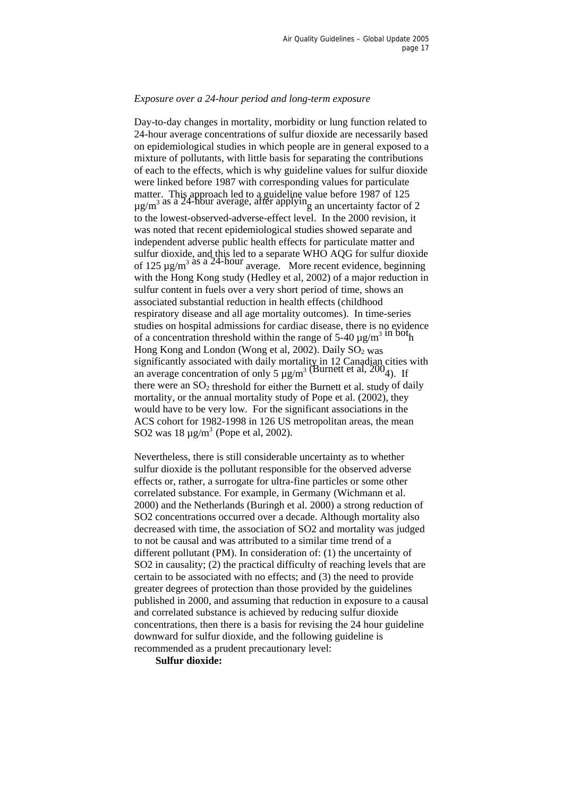#### *Exposure over a 24-hour period and long-term exposure*

Day-to-day changes in mortality, morbidity or lung function related to 24-hour average concentrations of sulfur dioxide are necessarily based on epidemiological studies in which people are in general exposed to a mixture of pollutants, with little basis for separating the contributions of each to the effects, which is why guideline values for sulfur dioxide were linked before 1987 with corresponding values for particulate matter. This approach led to a guideline value before 1987 of 125 <br>  $\mu$ g/m<sup>3</sup> as a 24-hour average, after applyin<sub>g an uncertainty factor of 2</sub> to the lowest-observed-adverse-effect level. In the 2000 revision, it was noted that recent epidemiological studies showed separate and independent adverse public health effects for particulate matter and sulfur dioxide, and this led to a separate WHO AQG for sulfur dioxide of 125  $\mu$ g/m<sup>3 as a 24-hour</sup> average. More recent evidence, beginning with the Hong Kong study (Hedley et al, 2002) of a major reduction in sulfur content in fuels over a very short period of time, shows an associated substantial reduction in health effects (childhood respiratory disease and all age mortality outcomes). In time-series studies on hospital admissions for cardiac disease, there is no evidence of a concentration threshold within the range of 5-40  $\mu$ g/m<sup>3</sup> in both Hong Kong and London (Wong et al, 2002). Daily  $SO_2$  was significantly associated with daily mortality in 12 Canadian cities with an average concentration of only 5  $\mu$ g/m<sup>3</sup> (Burnett et al, 200<sub>4)</sub>. If there were an SO<sub>2</sub> threshold for either the Burnett et al. study of daily mortality, or the annual mortality study of Pope et al. (2002), they would have to be very low. For the significant associations in the ACS cohort for 1982-1998 in 126 US metropolitan areas, the mean SO2 was  $18 \mu g/m^3$  (Pope et al, 2002).

Nevertheless, there is still considerable uncertainty as to whether sulfur dioxide is the pollutant responsible for the observed adverse effects or, rather, a surrogate for ultra-fine particles or some other correlated substance. For example, in Germany (Wichmann et al. 2000) and the Netherlands (Buringh et al. 2000) a strong reduction of SO2 concentrations occurred over a decade. Although mortality also decreased with time, the association of SO2 and mortality was judged to not be causal and was attributed to a similar time trend of a different pollutant (PM). In consideration of: (1) the uncertainty of SO2 in causality; (2) the practical difficulty of reaching levels that are certain to be associated with no effects; and (3) the need to provide greater degrees of protection than those provided by the guidelines published in 2000, and assuming that reduction in exposure to a causal and correlated substance is achieved by reducing sulfur dioxide concentrations, then there is a basis for revising the 24 hour guideline downward for sulfur dioxide, and the following guideline is recommended as a prudent precautionary level:

**Sulfur dioxide:**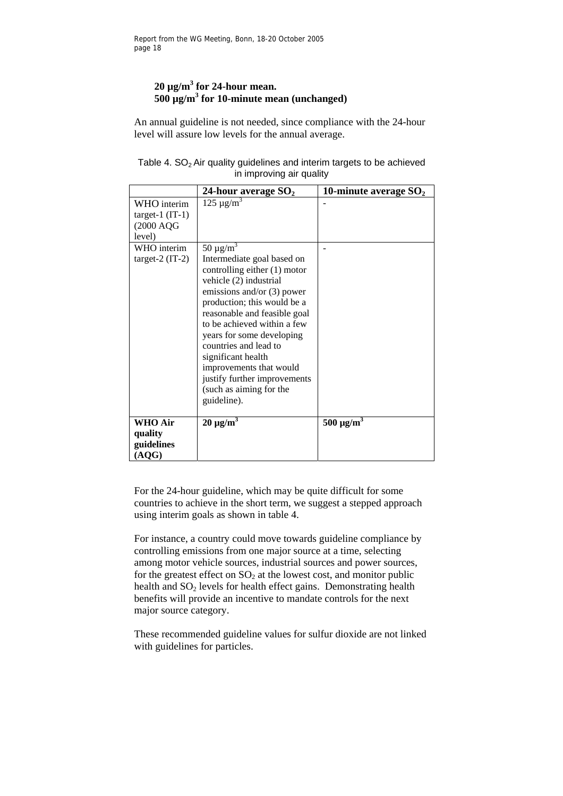#### **20 µg/m3 for 24-hour mean. 500 µg/m3 for 10-minute mean (unchanged)**

An annual guideline is not needed, since compliance with the 24-hour level will assure low levels for the annual average.

| Table 4. $SO2$ Air quality guidelines and interim targets to be achieved |
|--------------------------------------------------------------------------|
| in improving air quality                                                 |

|                        | 24-hour average $SO2$                       | 10-minute average $SO_2$ |
|------------------------|---------------------------------------------|--------------------------|
| WHO interim            | $125 \mu g/m^3$                             |                          |
| target-1 $(IT-1)$      |                                             |                          |
| (2000 AQG              |                                             |                          |
| level)                 |                                             |                          |
| WHO interim            | $50 \mu g/m^3$                              |                          |
| target- $2$ (IT- $2$ ) | Intermediate goal based on                  |                          |
|                        | controlling either (1) motor                |                          |
|                        | vehicle (2) industrial                      |                          |
|                        | emissions and/or $(3)$ power                |                          |
|                        | production; this would be a                 |                          |
|                        | reasonable and feasible goal                |                          |
|                        | to be achieved within a few                 |                          |
|                        | years for some developing                   |                          |
|                        | countries and lead to<br>significant health |                          |
|                        | improvements that would                     |                          |
|                        | justify further improvements                |                          |
|                        | (such as aiming for the                     |                          |
|                        | guideline).                                 |                          |
|                        |                                             |                          |
| <b>WHO Air</b>         | $20 \mu g/m^3$                              | $500 \mu g/m^3$          |
| quality                |                                             |                          |
| guidelines             |                                             |                          |
| (AQG)                  |                                             |                          |

For the 24-hour guideline, which may be quite difficult for some countries to achieve in the short term, we suggest a stepped approach using interim goals as shown in table 4.

For instance, a country could move towards guideline compliance by controlling emissions from one major source at a time, selecting among motor vehicle sources, industrial sources and power sources, for the greatest effect on  $SO<sub>2</sub>$  at the lowest cost, and monitor public health and  $SO<sub>2</sub>$  levels for health effect gains. Demonstrating health benefits will provide an incentive to mandate controls for the next major source category.

These recommended guideline values for sulfur dioxide are not linked with guidelines for particles.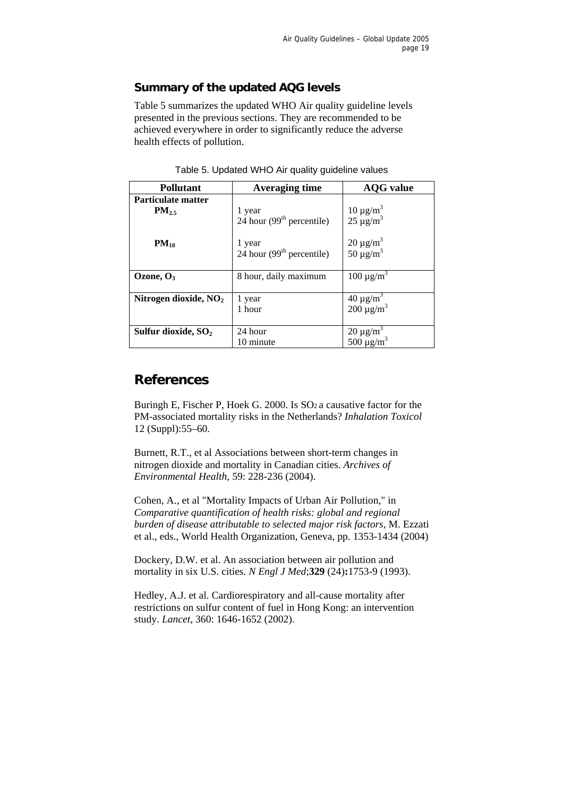### <span id="page-23-0"></span>**Summary of the updated AQG levels**

Table 5 summarizes the updated WHO Air quality guideline levels presented in the previous sections. They are recommended to be achieved everywhere in order to significantly reduce the adverse health effects of pollution.

| <b>Pollutant</b>          | <b>Averaging time</b>       | <b>AQG</b> value                                                 |
|---------------------------|-----------------------------|------------------------------------------------------------------|
| <b>Particulate matter</b> |                             |                                                                  |
| $PM_{2.5}$                | 1 year                      | $10 \mu g/m^3$                                                   |
|                           | 24 hour $(99th$ percentile) | $25 \mu g/m^3$                                                   |
| $PM_{10}$                 | 1 year                      | $20 \mu g/m^3$                                                   |
|                           | 24 hour $(99th$ percentile) | 50 $\mu$ g/m <sup>3</sup>                                        |
|                           |                             |                                                                  |
| Ozone, $O_3$              | 8 hour, daily maximum       | $100 \mu g/m^3$                                                  |
|                           |                             |                                                                  |
| Nitrogen dioxide, $NO2$   | 1 year                      | $\frac{40 \text{ }\mu\text{g/m}^3}{200 \text{ }\mu\text{g/m}^3}$ |
|                           | 1 hour                      |                                                                  |
|                           |                             |                                                                  |
| Sulfur dioxide, $SO2$     | 24 hour                     | $20 \mu g/m^3$<br>500 $\mu g/m^3$                                |
|                           | 10 minute                   |                                                                  |

Table 5. Updated WHO Air quality guideline values

# **References**

Buringh E, Fischer P, Hoek G. 2000. Is SO2 a causative factor for the PM-associated mortality risks in the Netherlands? *Inhalation Toxicol* 12 (Suppl):55–60.

Burnett, R.T., et al Associations between short-term changes in nitrogen dioxide and mortality in Canadian cities. *Archives of Environmental Health,* 59: 228-236 (2004).

Cohen, A., et al "Mortality Impacts of Urban Air Pollution," in *Comparative quantification of health risks: global and regional burden of disease attributable to selected major risk factors*, M. Ezzati et al., eds., World Health Organization, Geneva, pp. 1353-1434 (2004)

Dockery, D.W. et al. An association between air pollution and mortality in six U.S. cities. *N Engl J Med*;**329** (24)**:**1753-9 (1993).

Hedley, A.J. et al. Cardiorespiratory and all-cause mortality after restrictions on sulfur content of fuel in Hong Kong: an intervention study. *Lancet,* 360: 1646-1652 (2002).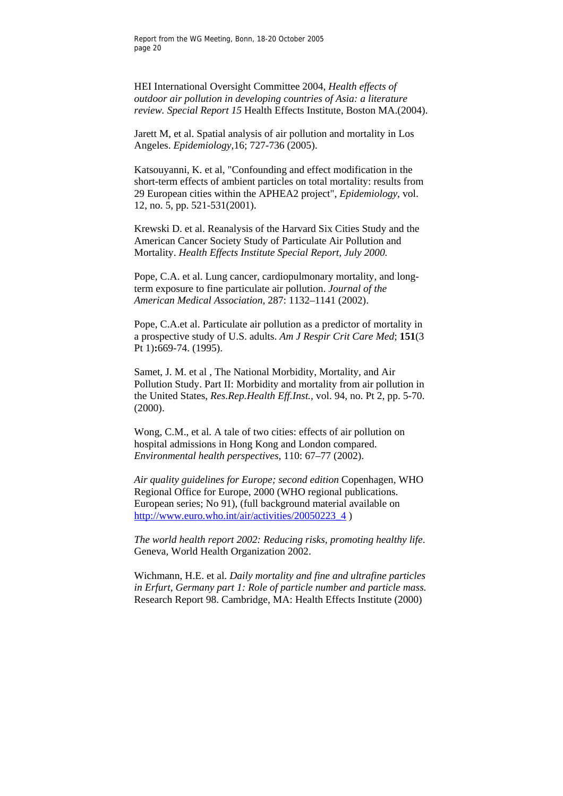HEI International Oversight Committee 2004, *Health effects of outdoor air pollution in developing countries of Asia: a literature review. Special Report 15* Health Effects Institute, Boston MA.(2004).

Jarett M, et al. Spatial analysis of air pollution and mortality in Los Angeles. *Epidemiology*,16; 727-736 (2005).

Katsouyanni, K. et al, "Confounding and effect modification in the short-term effects of ambient particles on total mortality: results from 29 European cities within the APHEA2 project", *Epidemiology*, vol. 12, no. 5, pp. 521-531(2001).

Krewski D. et al. Reanalysis of the Harvard Six Cities Study and the American Cancer Society Study of Particulate Air Pollution and Mortality. *Health Effects Institute Special Report, July 2000.*

Pope, C.A. et al. Lung cancer, cardiopulmonary mortality, and longterm exposure to fine particulate air pollution. *Journal of the American Medical Association,* 287: 1132–1141 (2002).

Pope, C.A.et al. Particulate air pollution as a predictor of mortality in a prospective study of U.S. adults. *Am J Respir Crit Care Med*; **151**(3 Pt 1)**:**669-74. (1995).

Samet, J. M. et al , The National Morbidity, Mortality, and Air Pollution Study. Part II: Morbidity and mortality from air pollution in the United States, *Res.Rep.Health Eff.Inst.*, vol. 94, no. Pt 2, pp. 5-70. (2000).

Wong, C.M., et al. A tale of two cities: effects of air pollution on hospital admissions in Hong Kong and London compared. *Environmental health perspectives,* 110: 67–77 (2002).

*Air quality guidelines for Europe; second edition* Copenhagen, WHO Regional Office for Europe, 2000 (WHO regional publications. European series; No 91), (full background material available on [http://www.euro.who.int/air/activities/20050223\\_4](http://www.euro.who.int/air/activities/20050223_4) )

*The world health report 2002: Reducing risks, promoting healthy life*. Geneva, World Health Organization 2002.

Wichmann, H.E. et al. *Daily mortality and fine and ultrafine particles in Erfurt, Germany part 1: Role of particle number and particle mass.* Research Report 98. Cambridge, MA: Health Effects Institute (2000)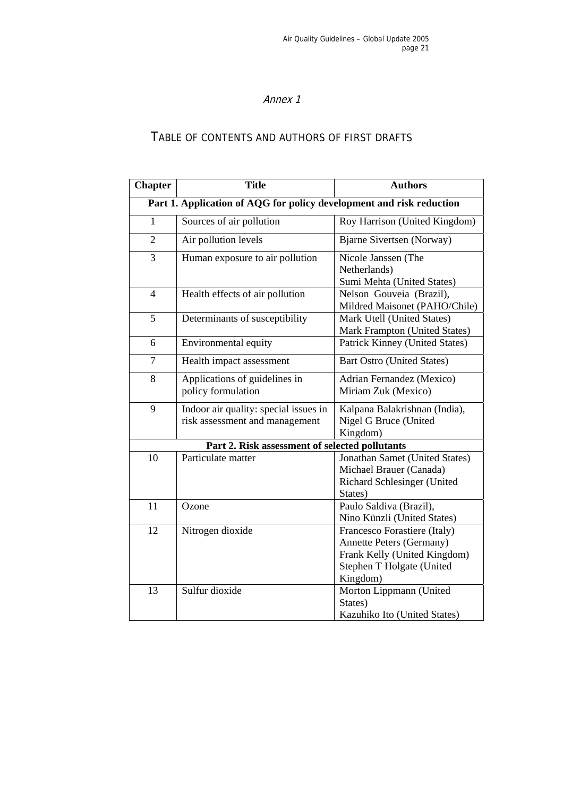### Annex 1

# <span id="page-25-0"></span>TABLE OF CONTENTS AND AUTHORS OF FIRST DRAFTS

| <b>Chapter</b>                                                       | <b>Title</b>                                                            | <b>Authors</b>                                                                                                                    |
|----------------------------------------------------------------------|-------------------------------------------------------------------------|-----------------------------------------------------------------------------------------------------------------------------------|
| Part 1. Application of AQG for policy development and risk reduction |                                                                         |                                                                                                                                   |
| 1                                                                    | Sources of air pollution                                                | Roy Harrison (United Kingdom)                                                                                                     |
| $\overline{2}$                                                       | Air pollution levels                                                    | Bjarne Sivertsen (Norway)                                                                                                         |
| $\overline{3}$                                                       | Human exposure to air pollution                                         | Nicole Janssen (The<br>Netherlands)<br>Sumi Mehta (United States)                                                                 |
| $\overline{4}$                                                       | Health effects of air pollution                                         | Nelson Gouveia (Brazil),<br>Mildred Maisonet (PAHO/Chile)                                                                         |
| 5                                                                    | Determinants of susceptibility                                          | Mark Utell (United States)<br>Mark Frampton (United States)                                                                       |
| 6                                                                    | Environmental equity                                                    | Patrick Kinney (United States)                                                                                                    |
| $\overline{7}$                                                       | Health impact assessment                                                | <b>Bart Ostro (United States)</b>                                                                                                 |
| 8                                                                    | Applications of guidelines in<br>policy formulation                     | Adrian Fernandez (Mexico)<br>Miriam Zuk (Mexico)                                                                                  |
| 9                                                                    | Indoor air quality: special issues in<br>risk assessment and management | Kalpana Balakrishnan (India),<br>Nigel G Bruce (United<br>Kingdom)                                                                |
| Part 2. Risk assessment of selected pollutants                       |                                                                         |                                                                                                                                   |
| 10                                                                   | Particulate matter                                                      | Jonathan Samet (United States)<br>Michael Brauer (Canada)<br>Richard Schlesinger (United<br>States)                               |
| 11                                                                   | Ozone                                                                   | Paulo Saldiva (Brazil),<br>Nino Künzli (United States)                                                                            |
| 12                                                                   | Nitrogen dioxide                                                        | Francesco Forastiere (Italy)<br>Annette Peters (Germany)<br>Frank Kelly (United Kingdom)<br>Stephen T Holgate (United<br>Kingdom) |
| 13                                                                   | Sulfur dioxide                                                          | Morton Lippmann (United<br>States)<br>Kazuhiko Ito (United States)                                                                |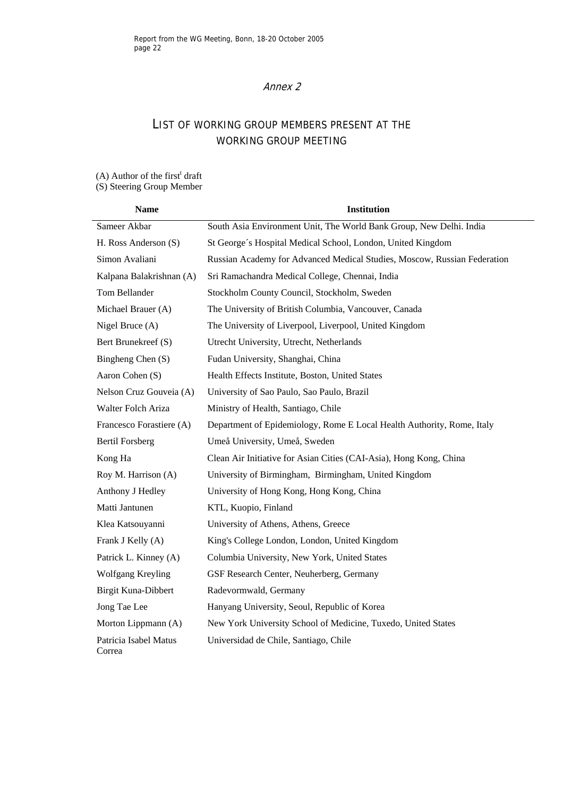#### Annex 2

# <span id="page-26-0"></span>LIST OF WORKING GROUP MEMBERS PRESENT AT THE WORKING GROUP MEETING

#### $(A)$  Author of the first<sup>t</sup> draft

#### (S) Steering Group Member

| <b>Name</b>                     | <b>Institution</b>                                                       |
|---------------------------------|--------------------------------------------------------------------------|
| Sameer Akbar                    | South Asia Environment Unit, The World Bank Group, New Delhi. India      |
| H. Ross Anderson (S)            | St George's Hospital Medical School, London, United Kingdom              |
| Simon Avaliani                  | Russian Academy for Advanced Medical Studies, Moscow, Russian Federation |
| Kalpana Balakrishnan (A)        | Sri Ramachandra Medical College, Chennai, India                          |
| Tom Bellander                   | Stockholm County Council, Stockholm, Sweden                              |
| Michael Brauer (A)              | The University of British Columbia, Vancouver, Canada                    |
| Nigel Bruce (A)                 | The University of Liverpool, Liverpool, United Kingdom                   |
| Bert Brunekreef (S)             | Utrecht University, Utrecht, Netherlands                                 |
| Bingheng Chen (S)               | Fudan University, Shanghai, China                                        |
| Aaron Cohen (S)                 | Health Effects Institute, Boston, United States                          |
| Nelson Cruz Gouveia (A)         | University of Sao Paulo, Sao Paulo, Brazil                               |
| Walter Folch Ariza              | Ministry of Health, Santiago, Chile                                      |
| Francesco Forastiere (A)        | Department of Epidemiology, Rome E Local Health Authority, Rome, Italy   |
| <b>Bertil Forsberg</b>          | Umeå University, Umeå, Sweden                                            |
| Kong Ha                         | Clean Air Initiative for Asian Cities (CAI-Asia), Hong Kong, China       |
| Roy M. Harrison (A)             | University of Birmingham, Birmingham, United Kingdom                     |
| Anthony J Hedley                | University of Hong Kong, Hong Kong, China                                |
| Matti Jantunen                  | KTL, Kuopio, Finland                                                     |
| Klea Katsouyanni                | University of Athens, Athens, Greece                                     |
| Frank J Kelly (A)               | King's College London, London, United Kingdom                            |
| Patrick L. Kinney (A)           | Columbia University, New York, United States                             |
| Wolfgang Kreyling               | GSF Research Center, Neuherberg, Germany                                 |
| Birgit Kuna-Dibbert             | Radevormwald, Germany                                                    |
| Jong Tae Lee                    | Hanyang University, Seoul, Republic of Korea                             |
| Morton Lippmann (A)             | New York University School of Medicine, Tuxedo, United States            |
| Patricia Isabel Matus<br>Correa | Universidad de Chile, Santiago, Chile                                    |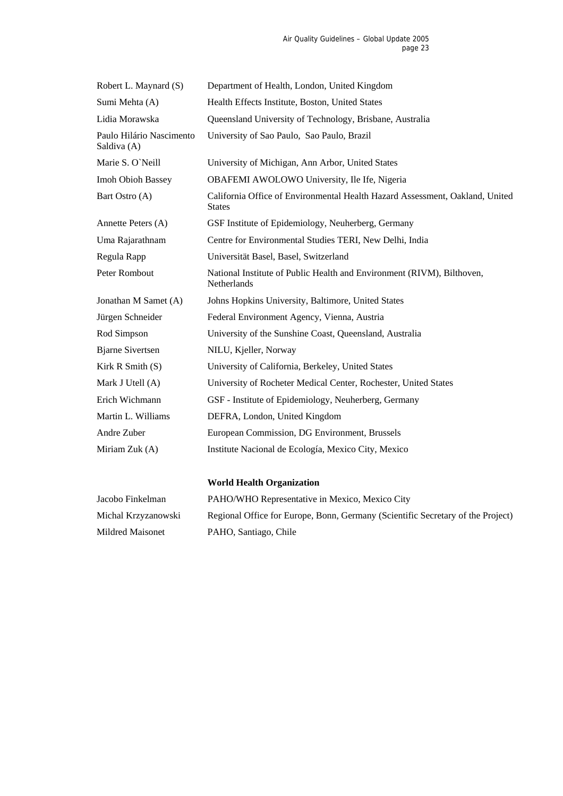| Robert L. Maynard (S)                   | Department of Health, London, United Kingdom                                                  |
|-----------------------------------------|-----------------------------------------------------------------------------------------------|
| Sumi Mehta (A)                          | Health Effects Institute, Boston, United States                                               |
| Lidia Morawska                          | Queensland University of Technology, Brisbane, Australia                                      |
| Paulo Hilário Nascimento<br>Saldiva (A) | University of Sao Paulo, Sao Paulo, Brazil                                                    |
| Marie S. O`Neill                        | University of Michigan, Ann Arbor, United States                                              |
| <b>Imoh Obioh Bassey</b>                | OBAFEMI AWOLOWO University, Ile Ife, Nigeria                                                  |
| Bart Ostro (A)                          | California Office of Environmental Health Hazard Assessment, Oakland, United<br><b>States</b> |
| Annette Peters (A)                      | GSF Institute of Epidemiology, Neuherberg, Germany                                            |
| Uma Rajarathnam                         | Centre for Environmental Studies TERI, New Delhi, India                                       |
| Regula Rapp                             | Universität Basel, Basel, Switzerland                                                         |
| Peter Rombout                           | National Institute of Public Health and Environment (RIVM), Bilthoven,<br>Netherlands         |
| Jonathan M Samet (A)                    | Johns Hopkins University, Baltimore, United States                                            |
| Jürgen Schneider                        | Federal Environment Agency, Vienna, Austria                                                   |
| Rod Simpson                             | University of the Sunshine Coast, Queensland, Australia                                       |
| <b>Bjarne Sivertsen</b>                 | NILU, Kjeller, Norway                                                                         |
| Kirk R Smith (S)                        | University of California, Berkeley, United States                                             |
| Mark J Utell (A)                        | University of Rocheter Medical Center, Rochester, United States                               |
| Erich Wichmann                          | GSF - Institute of Epidemiology, Neuherberg, Germany                                          |
| Martin L. Williams                      | DEFRA, London, United Kingdom                                                                 |
| Andre Zuber                             | European Commission, DG Environment, Brussels                                                 |
| Miriam Zuk (A)                          | Institute Nacional de Ecología, Mexico City, Mexico                                           |
|                                         |                                                                                               |

#### **World Health Organization**

| Jacobo Finkelman    | PAHO/WHO Representative in Mexico, Mexico City                                  |
|---------------------|---------------------------------------------------------------------------------|
| Michal Krzyzanowski | Regional Office for Europe, Bonn, Germany (Scientific Secretary of the Project) |
| Mildred Maisonet    | PAHO, Santiago, Chile                                                           |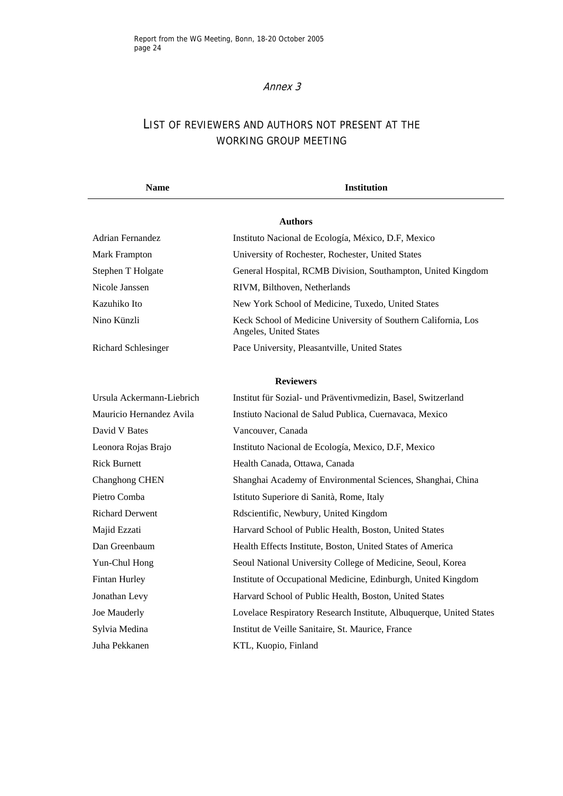#### Annex 3

# <span id="page-28-0"></span>LIST OF REVIEWERS AND AUTHORS NOT PRESENT AT THE WORKING GROUP MEETING

| <b>Name</b>               | <b>Institution</b>                                                                       |  |  |
|---------------------------|------------------------------------------------------------------------------------------|--|--|
| <b>Authors</b>            |                                                                                          |  |  |
| Adrian Fernandez          | Instituto Nacional de Ecología, México, D.F, Mexico                                      |  |  |
| <b>Mark Frampton</b>      | University of Rochester, Rochester, United States                                        |  |  |
| Stephen T Holgate         | General Hospital, RCMB Division, Southampton, United Kingdom                             |  |  |
| Nicole Janssen            | RIVM, Bilthoven, Netherlands                                                             |  |  |
| Kazuhiko Ito              | New York School of Medicine, Tuxedo, United States                                       |  |  |
| Nino Künzli               | Keck School of Medicine University of Southern California, Los<br>Angeles, United States |  |  |
| Richard Schlesinger       | Pace University, Pleasantville, United States                                            |  |  |
| <b>Reviewers</b>          |                                                                                          |  |  |
| Ursula Ackermann-Liebrich | Institut für Sozial- und Präventivmedizin, Basel, Switzerland                            |  |  |
| Mauricio Hernandez Avila  | Instiuto Nacional de Salud Publica, Cuernavaca, Mexico                                   |  |  |
| David V Bates             | Vancouver, Canada                                                                        |  |  |
| Leonora Rojas Brajo       | Instituto Nacional de Ecología, Mexico, D.F, Mexico                                      |  |  |
| <b>Rick Burnett</b>       | Health Canada, Ottawa, Canada                                                            |  |  |
| <b>Changhong CHEN</b>     | Shanghai Academy of Environmental Sciences, Shanghai, China                              |  |  |
| Pietro Comba              | Istituto Superiore di Sanità, Rome, Italy                                                |  |  |
| <b>Richard Derwent</b>    | Rdscientific, Newbury, United Kingdom                                                    |  |  |
| Majid Ezzati              | Harvard School of Public Health, Boston, United States                                   |  |  |
| Dan Greenbaum             | Health Effects Institute, Boston, United States of America                               |  |  |
| Yun-Chul Hong             | Seoul National University College of Medicine, Seoul, Korea                              |  |  |
| Fintan Hurley             | Institute of Occupational Medicine, Edinburgh, United Kingdom                            |  |  |
| Jonathan Levy             | Harvard School of Public Health, Boston, United States                                   |  |  |
| Joe Mauderly              | Lovelace Respiratory Research Institute, Albuquerque, United States                      |  |  |
| Sylvia Medina             | Institut de Veille Sanitaire, St. Maurice, France                                        |  |  |
| Juha Pekkanen             | KTL, Kuopio, Finland                                                                     |  |  |